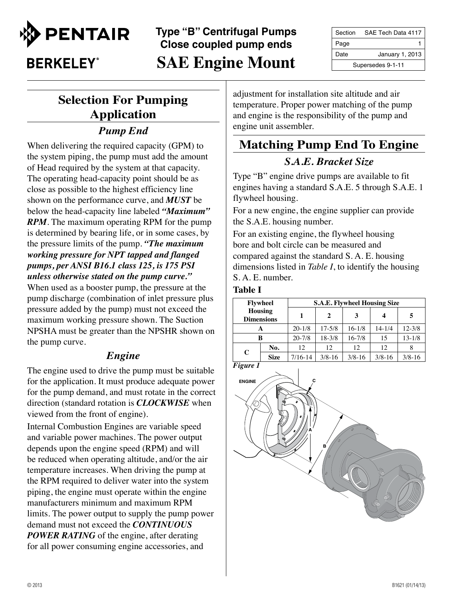

## **Type ''B'' Centrifugal Pumps Close coupled pump ends SAE Engine Mount**

| Section           | SAE Tech Data 4117 |  |  |
|-------------------|--------------------|--|--|
| Page              |                    |  |  |
| Date              | January 1, 2013    |  |  |
| Supersedes 9-1-11 |                    |  |  |

# **Selection For Pumping**

# **Application**

#### *Pump End*

When delivering the required capacity (GPM) to the system piping, the pump must add the amount of Head required by the system at that capacity. The operating head-capacity point should be as close as possible to the highest efficiency line shown on the performance curve, and *MUST* be below the head-capacity line labeled *"Maximum" RPM*. The maximum operating RPM for the pump is determined by bearing life, or in some cases, by the pressure limits of the pump. *"The maximum working pressure for NPT tapped and flanged pumps, per ANSI B16.1 class 125, is 175 PSI unless otherwise stated on the pump curve."*

When used as a booster pump, the pressure at the pump discharge (combination of inlet pressure plus pressure added by the pump) must not exceed the maximum working pressure shown. The Suction NPSHA must be greater than the NPSHR shown on the pump curve.

#### *Engine*

The engine used to drive the pump must be suitable for the application. It must produce adequate power for the pump demand, and must rotate in the correct direction (standard rotation is *CLOCKWISE* when viewed from the front of engine).

Internal Combustion Engines are variable speed and variable power machines. The power output depends upon the engine speed (RPM) and will be reduced when operating altitude, and/or the air temperature increases. When driving the pump at the RPM required to deliver water into the system piping, the engine must operate within the engine manufacturers minimum and maximum RPM limits. The power output to supply the pump power demand must not exceed the *CONTINUOUS POWER RATING* of the engine, after derating for all power consuming engine accessories, and

adjustment for installation site altitude and air temperature. Proper power matching of the pump and engine is the responsibility of the pump and engine unit assembler.

# **Matching Pump End To Engine**

#### *S.A.E. Bracket Size*

Type "B" engine drive pumps are available to fit engines having a standard S.A.E. 5 through S.A.E. 1 flywheel housing.

For a new engine, the engine supplier can provide the S.A.E. housing number.

For an existing engine, the flywheel housing bore and bolt circle can be measured and compared against the standard S. A. E. housing dimensions listed in *Table I*, to identify the housing S. A. E. number.

#### **Table I**

| <b>Flywheel</b>                     |             | <b>S.A.E. Flywheel Housing Size</b> |            |            |            |            |  |  |  |
|-------------------------------------|-------------|-------------------------------------|------------|------------|------------|------------|--|--|--|
| <b>Housing</b><br><b>Dimensions</b> |             | 1                                   | 2          |            | 4          | 5          |  |  |  |
| А                                   |             | $20 - 1/8$                          | $17 - 5/8$ | $16 - 1/8$ | $14 - 1/4$ | $12 - 3/8$ |  |  |  |
| в                                   |             | $20 - 7/8$                          | $18 - 3/8$ | $16 - 7/8$ | 15         | $13 - 1/8$ |  |  |  |
|                                     | No.         | 12                                  | 12         | 12         | 12         |            |  |  |  |
| C                                   | <b>Size</b> | $7/16-14$                           | $3/8 - 16$ | $3/8 - 16$ | $3/8 - 16$ | $3/8 - 16$ |  |  |  |

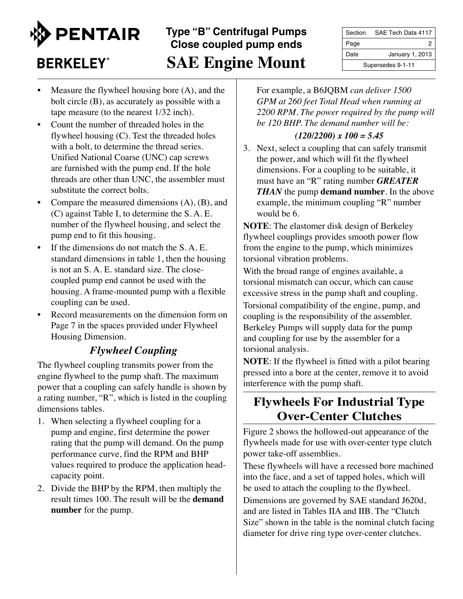

# **Type ''B'' Centrifugal Pumps Close coupled pump ends SAE Engine Mount**

| Section | SAF Tech Data 4117 |
|---------|--------------------|
| Page    |                    |
| Date    | January 1, 2013    |
|         | Supersedes 9-1-11  |

- Measure the flywheel housing bore  $(A)$ , and the bolt circle (B), as accurately as possible with a tape measure (to the nearest 1/32 inch).
- • Count the number of threaded holes in the flywheel housing (C). Test the threaded holes with a bolt, to determine the thread series. Unified National Coarse (UNC) cap screws are furnished with the pump end. If the hole threads are other than UNC, the assembler must substitute the correct bolts.
- Compare the measured dimensions  $(A)$ ,  $(B)$ , and (C) against Table I, to determine the S. A. E. number of the flywheel housing, and select the pump end to fit this housing.
- If the dimensions do not match the  $S.A.E.$ standard dimensions in table 1, then the housing is not an S. A. E. standard size. The closecoupled pump end cannot be used with the housing. A frame-mounted pump with a flexible coupling can be used.
- Record measurements on the dimension form on Page 7 in the spaces provided under Flywheel Housing Dimension.

### *Flywheel Coupling*

The flywheel coupling transmits power from the engine flywheel to the pump shaft. The maximum power that a coupling can safely handle is shown by a rating number, "R", which is listed in the coupling dimensions tables.

- 1. When selecting a flywheel coupling for a pump and engine, first determine the power rating that the pump will demand. On the pump performance curve, find the RPM and BHP values required to produce the application headcapacity point.
- 2. Divide the BHP by the RPM, then multiply the result times 100. The result will be the **demand number** for the pump.

For example, a B6JQBM *can deliver 1500 GPM at 260 feet Total Head when running at 2200 RPM. The power required by the pump will be 120 BHP. The demand number will be:*

#### *(120/2200) x 100 = 5.45*

3. Next, select a coupling that can safely transmit the power, and which will fit the flywheel dimensions. For a coupling to be suitable, it must have an "R" rating number *GREATER THAN* the pump **demand number**. In the above example, the minimum coupling "R" number would be 6.

**NOTE**: The elastomer disk design of Berkeley flywheel couplings provides smooth power flow from the engine to the pump, which minimizes torsional vibration problems.

With the broad range of engines available, a torsional mismatch can occur, which can cause excessive stress in the pump shaft and coupling.

Torsional compatibility of the engine, pump, and coupling is the responsibility of the assembler. Berkeley Pumps will supply data for the pump and coupling for use by the assembler for a torsional analysis.

**NOTE**: If the flywheel is fitted with a pilot bearing pressed into a bore at the center, remove it to avoid interference with the pump shaft.

### **Flywheels For Industrial Type Over-Center Clutches**

Figure 2 shows the hollowed-out appearance of the flywheels made for use with over-center type clutch power take-off assemblies.

These flywheels will have a recessed bore machined into the face, and a set of tapped holes, which will be used to attach the coupling to the flywheel.

Dimensions are governed by SAE standard J620d, and are listed in Tables IIA and IIB. The "Clutch Size" shown in the table is the nominal clutch facing diameter for drive ring type over-center clutches.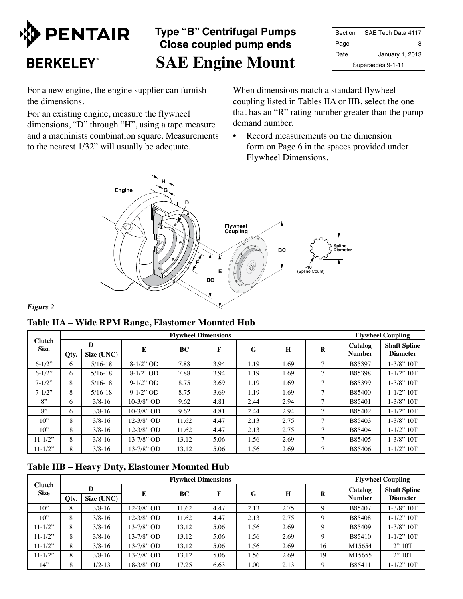

## **Type ''B'' Centrifugal Pumps Close coupled pump ends SAE Engine Mount**

| Section | SAE Tech Data 4117 |
|---------|--------------------|
| Page    |                    |
| Date    | January 1, 2013    |
|         | Supersedes 9-1-11  |
|         |                    |

For a new engine, the engine supplier can furnish the dimensions.

For an existing engine, measure the flywheel dimensions, "D" through "H", using a tape measure and a machinists combination square. Measurements to the nearest 1/32" will usually be adequate.

When dimensions match a standard flywheel coupling listed in Tables IIA or IIB, select the one that has an "R" rating number greater than the pump demand number.

• Record measurements on the dimension form on Page 6 in the spaces provided under Flywheel Dimensions.



#### *Figure 2*

**Table IIA – Wide RPM Range, Elastomer Mounted Hub**

|                              | <b>Flywheel Dimensions</b> |            |                 |           |      |      |      | <b>Flywheel Coupling</b> |               |                     |
|------------------------------|----------------------------|------------|-----------------|-----------|------|------|------|--------------------------|---------------|---------------------|
| <b>Clutch</b><br><b>Size</b> |                            | D          | E               | <b>BC</b> | F    | G    | H    |                          | Catalog       | <b>Shaft Spline</b> |
|                              | Qty.                       | Size (UNC) |                 |           |      |      |      | R                        | <b>Number</b> | <b>Diameter</b>     |
| $6-1/2"$                     | 6                          | $5/16-18$  | $8-1/2$ " OD    | 7.88      | 3.94 | 1.19 | 1.69 | 7                        | B85397        | $1 - 3/8$ " $10T$   |
| $6-1/2"$                     | 6                          | $5/16-18$  | $8-1/2$ " OD    | 7.88      | 3.94 | 1.19 | 1.69 | 7                        | B85398        | $1 - 1/2$ " $10T$   |
| $7 - 1/2$ "                  | 8                          | $5/16-18$  | $9-1/2$ " OD    | 8.75      | 3.69 | 1.19 | 1.69 | 7                        | B85399        | $1 - 3/8$ " $10T$   |
| $7 - 1/2$ "                  | 8                          | $5/16-18$  | $9-1/2$ " OD    | 8.75      | 3.69 | 1.19 | 1.69 | 7                        | B85400        | $1 - 1/2$ " 10T     |
| 8"                           | 6                          | $3/8 - 16$ | $10-3/8$ " OD   | 9.62      | 4.81 | 2.44 | 2.94 | 7                        | B85401        | $1 - 3/8$ " 10T     |
| 8"                           | 6                          | $3/8 - 16$ | $10-3/8$ " OD   | 9.62      | 4.81 | 2.44 | 2.94 | 7                        | B85402        | $1 - 1/2$ " $10T$   |
| 10"                          | 8                          | $3/8 - 16$ | $12 - 3/8$ " OD | 11.62     | 4.47 | 2.13 | 2.75 | $\mathcal{I}$            | B85403        | $1 - 3/8$ " $10T$   |
| 10"                          | 8                          | $3/8 - 16$ | $12 - 3/8$ " OD | 11.62     | 4.47 | 2.13 | 2.75 | 7                        | B85404        | $1 - 1/2$ " $10T$   |
| $11 - 1/2$ "                 | 8                          | $3/8 - 16$ | $13 - 7/8$ " OD | 13.12     | 5.06 | 1.56 | 2.69 | 7                        | B85405        | $1 - 3/8$ " 10T     |
| $11 - 1/2$ "                 | 8                          | $3/8 - 16$ | $13 - 7/8$ " OD | 13.12     | 5.06 | 1.56 | 2.69 | 7                        | B85406        | $1 - 1/2$ " 10T     |

#### **Table IIB – Heavy Duty, Elastomer Mounted Hub**

|                              | <b>Flywheel Dimensions</b> |            |                         |         |      |      |             | <b>Flywheel Coupling</b> |               |                     |
|------------------------------|----------------------------|------------|-------------------------|---------|------|------|-------------|--------------------------|---------------|---------------------|
| <b>Clutch</b><br><b>Size</b> |                            | D          |                         | BC<br>F |      | G    | $\mathbf H$ | R                        | Catalog       | <b>Shaft Spline</b> |
|                              | Qty.                       | Size (UNC) | Е                       |         |      |      |             |                          | <b>Number</b> | <b>Diameter</b>     |
| 10"                          | 8                          | $3/8 - 16$ | $12 - 3/8$ " OD         | 11.62   | 4.47 | 2.13 | 2.75        | 9                        | B85407        | $1 - 3/8$ " 10T     |
| 10"                          | 8                          | $3/8 - 16$ | $12 - \frac{3}{8}$ " OD | 11.62   | 4.47 | 2.13 | 2.75        | 9                        | <b>B85408</b> | $1 - 1/2$ " $10T$   |
| $11 - 1/2"$                  | 8                          | $3/8 - 16$ | $13-7/8$ " OD           | 13.12   | 5.06 | 1.56 | 2.69        | 9                        | B85409        | $1 - 3/8$ " 10T     |
| $11 - 1/2"$                  | 8                          | $3/8 - 16$ | $13 - 7/8$ " OD         | 13.12   | 5.06 | 1.56 | 2.69        | 9                        | B85410        | $1 - 1/2$ " $10T$   |
| $11 - 1/2"$                  | 8                          | $3/8 - 16$ | $13 - 7/8$ " OD         | 13.12   | 5.06 | 1.56 | 2.69        | 16                       | M15654        | 2"10T               |
| $11 - 1/2"$                  | 8                          | $3/8 - 16$ | $13 - 7/8$ " OD         | 13.12   | 5.06 | 1.56 | 2.69        | 19                       | M15655        | 2"10T               |
| 14"                          | 8                          | $1/2 - 13$ | $18-3/8"$ OD            | 17.25   | 6.63 | 1.00 | 2.13        | 9                        | B85411        | $1 - 1/2$ " $10T$   |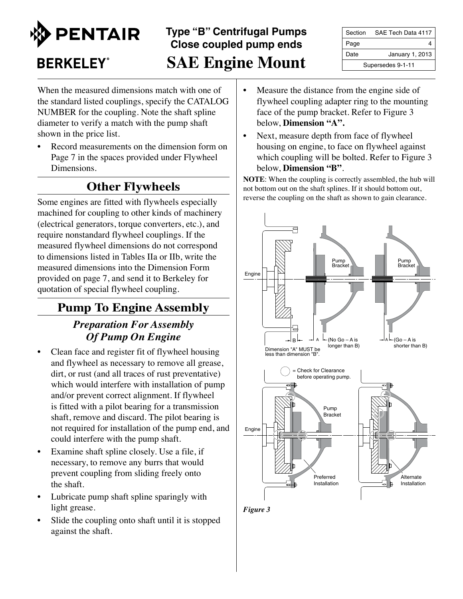

# **Type ''B'' Centrifugal Pumps Close coupled pump ends SAE Engine Mount**



When the measured dimensions match with one of the standard listed couplings, specify the CATALOG NUMBER for the coupling. Note the shaft spline diameter to verify a match with the pump shaft shown in the price list.

Record measurements on the dimension form on Page 7 in the spaces provided under Flywheel Dimensions.

### **Other Flywheels**

Some engines are fitted with flywheels especially machined for coupling to other kinds of machinery (electrical generators, torque converters, etc.), and require nonstandard flywheel couplings. If the measured flywheel dimensions do not correspond to dimensions listed in Tables IIa or IIb, write the measured dimensions into the Dimension Form provided on page 7, and send it to Berkeley for quotation of special flywheel coupling.

### **Pump To Engine Assembly**

### *Preparation For Assembly Of Pump On Engine*

- Clean face and register fit of flywheel housing and flywheel as necessary to remove all grease, dirt, or rust (and all traces of rust preventative) which would interfere with installation of pump and/or prevent correct alignment. If flywheel is fitted with a pilot bearing for a transmission shaft, remove and discard. The pilot bearing is not required for installation of the pump end, and could interfere with the pump shaft.
- Examine shaft spline closely. Use a file, if necessary, to remove any burrs that would prevent coupling from sliding freely onto the shaft.
- Lubricate pump shaft spline sparingly with light grease.
- Slide the coupling onto shaft until it is stopped against the shaft.
- Measure the distance from the engine side of flywheel coupling adapter ring to the mounting face of the pump bracket. Refer to Figure 3 below, **Dimension "A".**
- Next, measure depth from face of flywheel housing on engine, to face on flywheel against which coupling will be bolted. Refer to Figure 3 below, **Dimension "B"**.

**NOTE**: When the coupling is correctly assembled, the hub will not bottom out on the shaft splines. If it should bottom out, reverse the coupling on the shaft as shown to gain clearance.



*Figure 3*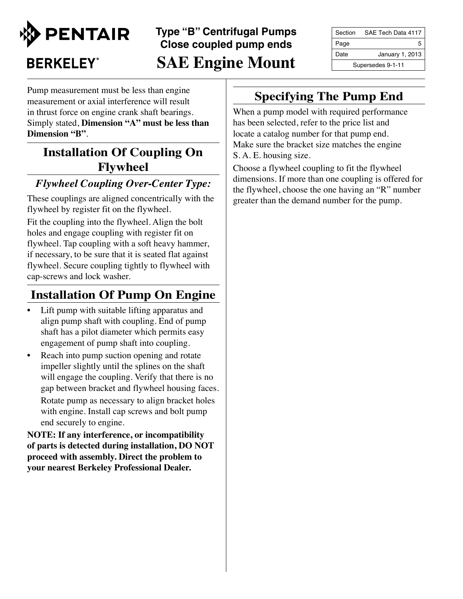

## **Type ''B'' Centrifugal Pumps Close coupled pump ends SAE Engine Mount**

| Section | SAE Tech Data 4117 |
|---------|--------------------|
| Page    | 5                  |
| Date    | January 1, 2013    |
|         | Supersedes 9-1-11  |

Pump measurement must be less than engine measurement or axial interference will result in thrust force on engine crank shaft bearings. Simply stated, **Dimension "A" must be less than Dimension "B"**.

### **Installation Of Coupling On Flywheel**

### *Flywheel Coupling Over-Center Type:*

These couplings are aligned concentrically with the flywheel by register fit on the flywheel.

Fit the coupling into the flywheel. Align the bolt holes and engage coupling with register fit on flywheel. Tap coupling with a soft heavy hammer, if necessary, to be sure that it is seated flat against flywheel. Secure coupling tightly to flywheel with cap-screws and lock washer.

## **Installation Of Pump On Engine**

- Lift pump with suitable lifting apparatus and align pump shaft with coupling. End of pump shaft has a pilot diameter which permits easy engagement of pump shaft into coupling.
- Reach into pump suction opening and rotate impeller slightly until the splines on the shaft will engage the coupling. Verify that there is no gap between bracket and flywheel housing faces. Rotate pump as necessary to align bracket holes with engine. Install cap screws and bolt pump end securely to engine.

**NOTE: If any interference, or incompatibility of parts is detected during installation, DO NOT proceed with assembly. Direct the problem to your nearest Berkeley Professional Dealer.**

## **Specifying The Pump End**

When a pump model with required performance has been selected, refer to the price list and locate a catalog number for that pump end. Make sure the bracket size matches the engine S. A. E. housing size.

Choose a flywheel coupling to fit the flywheel dimensions. If more than one coupling is offered for the flywheel, choose the one having an "R" number greater than the demand number for the pump.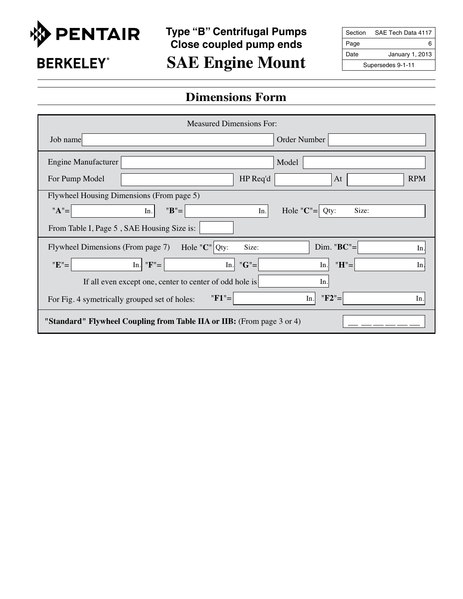

**Type ''B'' Centrifugal Pumps Close coupled pump ends SAE Engine Mount**

Section SAE Tech Data 4117 Page 6 Date **January 1, 2013** Supersedes 9-1-11

### **Dimensions Form**

| <b>Measured Dimensions For:</b>                                                                                 |
|-----------------------------------------------------------------------------------------------------------------|
| Order Number<br>Job name                                                                                        |
| <b>Engine Manufacturer</b><br>Model                                                                             |
| HP Req'd<br><b>RPM</b><br>For Pump Model<br>At                                                                  |
| Flywheel Housing Dimensions (From page 5)                                                                       |
| Hole " $C$ "= Qty:<br>$"A" =$<br>$"B"=$<br>Size:<br>In.<br>In.                                                  |
| From Table I, Page 5, SAE Housing Size is:                                                                      |
| Hole " $\mathbb{C}^{\prime\prime}$   Qty:<br>$Dim. "BC" =$<br>Flywheel Dimensions (From page 7)<br>Size:<br>In. |
| In. $"F" =$<br>$"E" =$<br>In. $\mathbf{G}$ "=<br>$"H" =$<br>In.<br>In.                                          |
| If all even except one, center to center of odd hole is<br>In.                                                  |
| " $F1$ "=<br>" $F2" =$<br>$\ln$ .<br>In.<br>For Fig. 4 symetrically grouped set of holes:                       |
| "Standard" Flywheel Coupling from Table IIA or IIB: (From page 3 or 4)                                          |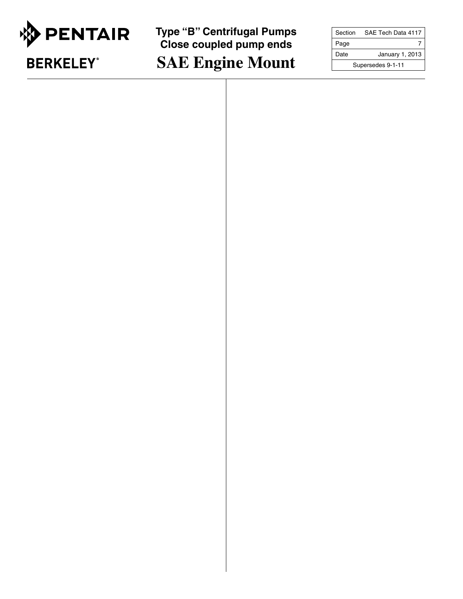

**Type ''B'' Centrifugal Pumps Close coupled pump ends SAE Engine Mount**

| Section           | SAE Tech Data 4117 |  |  |
|-------------------|--------------------|--|--|
| Page              |                    |  |  |
| Date              | January 1, 2013    |  |  |
| Supersedes 9-1-11 |                    |  |  |